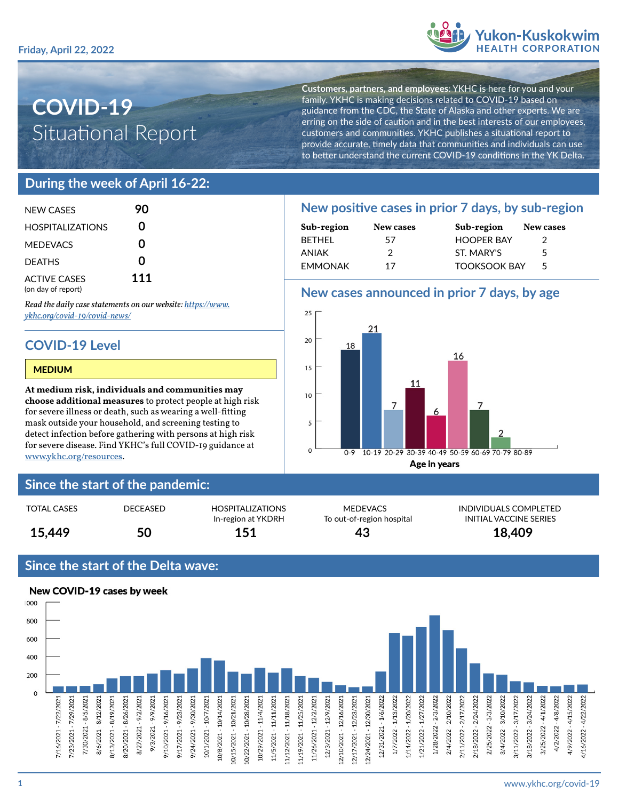

# **COVID-19** Situational Report

**Customers, partners, and employees**: YKHC is here for you and your family. YKHC is making decisions related to COVID-19 based on guidance from the CDC, the State of Alaska and other experts. We are erring on the side of caution and in the best interests of our employees, customers and communities. YKHC publishes a situational report to provide accurate, timely data that communities and individuals can use to better understand the current COVID-19 conditions in the YK Delta.

## **During the week of April 16-22:**

| NFW CASES                                 | 90  |
|-------------------------------------------|-----|
| <b>HOSPITALIZATIONS</b>                   | U   |
| <b>MEDEVACS</b>                           | ი   |
| <b>DEATHS</b>                             | ი   |
| <b>ACTIVE CASES</b><br>(on day of report) | 111 |

*Read the daily case statements on our website: [https://www.](https://www.ykhc.org/covid-19/covid-news/) [ykhc.org/covid-19/covid-news/](https://www.ykhc.org/covid-19/covid-news/)*

## **COVID-19 Level**

#### MEDIUM

**At medium risk, individuals and communities may choose additional measures** to protect people at high risk for severe illness or death, such as wearing a well-fitting mask outside your household, and screening testing to detect infection before gathering with persons at high risk for severe disease. Find YKHC's full COVID-19 guidance at [www.ykhc.org/resources](http://www.ykhc.org/resources).

#### **Since the start of the pandemic:**

| 15,449 | 50 | In-region at YKDRH<br>151 | To out-of-region hospital<br>43 | INITIAL VACCINE !<br>18,409 |
|--------|----|---------------------------|---------------------------------|-----------------------------|
|        |    |                           |                                 |                             |

#### **Since the start of the Delta wave:**



## **New positive cases in prior 7 days, by sub-region**

| Sub-region | New cases | Sub-region          | New cases |  |
|------------|-----------|---------------------|-----------|--|
| BFTHFI     | 57        | <b>HOOPER BAY</b>   |           |  |
| ANIAK      |           | ST. MARY'S          | 5         |  |
| EMMONAK    | 17        | <b>TOOKSOOK BAY</b> | 5         |  |

### **New cases announced in prior 7 days, by age**



MEDEVACS INDIVIDUALS COMPLETED To out-of-region hospital **INITIAL VACCINE SERIES**